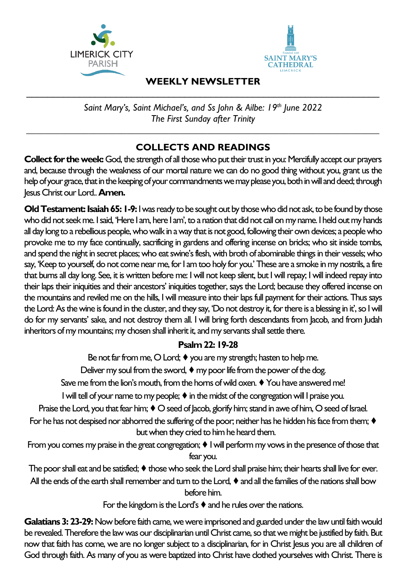



### **WEEKLY NEWSLETTER**  $\mathcal{L}_\text{max}$  , and the contract of the contract of the contract of the contract of the contract of the contract of the contract of the contract of the contract of the contract of the contract of the contract of the contr

*Saint Mary's, Saint Michael's, and Ss John & Ailbe: 19 th June 2022 The First Sunday after Trinity*

*\_\_\_\_\_\_\_\_\_\_\_\_\_\_\_\_\_\_\_\_\_\_\_\_\_\_\_\_\_\_\_\_\_\_\_\_\_\_\_\_\_\_\_\_\_\_\_\_\_\_\_\_\_\_\_\_\_\_\_\_\_\_\_\_\_\_\_\_\_\_\_\_\_\_*

# **COLLECTS AND READINGS**

**Collect for the week:** God, the strength of all those who put their trust in you: Mercifully accept our prayers and, because through the weakness of our mortal nature we can do no good thing without you, grant us the help of your grace, that in the keeping of your commandments we may please you, both in will and deed; through Jesus Christ our Lord..**Amen.**

**Old Testament: Isaiah 65: 1-9:** I was ready to be sought out by those who did not ask, to be found by those who did not seek me. I said, 'Here I am, here I am', to a nation that did not call on my name. I held out my hands all day long to a rebellious people, who walk in a way that is not good, following their own devices; a people who provoke me to my face continually, sacrificing in gardens and offering incense on bricks; who sit inside tombs, and spend the night in secret places; who eat swine's flesh, with broth of abominable things in their vessels; who say, 'Keep to yourself, do not come near me, for I am too holy for you.' These are a smoke in my nostrils, a fire that burns all day long. See, it is written before me: I will not keep silent, but I will repay; I will indeed repay into their laps their iniquities and their ancestors' iniquities together, says the Lord; because they offered incense on the mountains and reviled me on the hills, I will measure into their laps full payment for their actions. Thus says the Lord: As the wine is found in the cluster, and they say, 'Do not destroy it, for there is a blessing in it', so I will do for my servants' sake, and not destroy them all. I will bring forth descendants from Jacob, and from Judah inheritors of my mountains; my chosen shall inherit it, and my servants shall settle there.

### **Psalm 22: 19-28**

Be not far from me, O Lord;  $\blacklozenge$  you are my strength; hasten to help me.

Deliver my soul from the sword, ♦ my poor life from the power of the dog.

Save me from the lion's mouth, from the horns of wild oxen.  $\blacklozenge$  You have answered me!

I will tell of your name to my people; ♦ in the midst of the congregation will I praise you.

Praise the Lord, you that fear him; ♦ O seed of Jacob, glorify him; stand in awe of him, O seed of Israel.

For he has not despised nor abhorred the suffering of the poor; neither has he hidden his face from them;  $\blacklozenge$ but when they cried to him he heard them.

From you comes my praise in the great congregation;  $\bullet$  I will perform my vows in the presence of those that fear you.

The poor shall eat and be satisfied; ♦︎those who seek the Lord shall praise him; their hearts shall live for ever. All the ends of the earth shall remember and turn to the Lord, ♦ and all the families of the nations shall bow before him.

For the kingdom is the Lord's  $\blacklozenge$  and he rules over the nations.

**Galatians 3: 23-29:** Now before faith came, we were imprisoned and guarded under the law until faith would be revealed. Therefore the law was our disciplinarian until Christ came, so that we might be justified by faith. But now that faith has come, we are no longer subject to a disciplinarian, for in Christ Jesus you are all children of God through faith. As many of you as were baptized into Christ have clothed yourselves with Christ. There is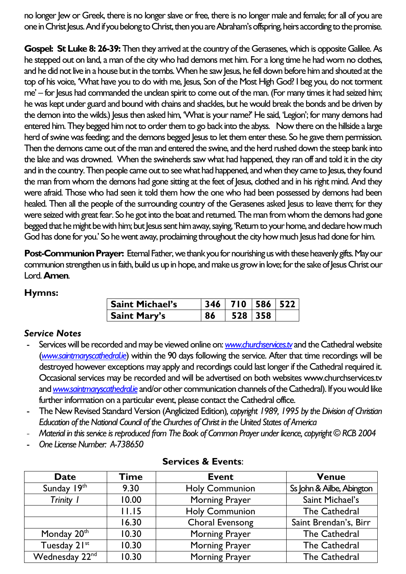no longer Jew or Greek, there is no longer slave or free, there is no longer male and female; for all of you are one in Christ Jesus. And if you belong to Christ, then you are Abraham's offspring, heirs according to the promise.

**Gospel: St Luke 8: 26-39:**Then they arrived at the country of the Gerasenes, which is opposite Galilee. As he stepped out on land, a man of the city who had demons met him. For a long time he had worn no clothes, and he did not live in a house but in the tombs. When he saw Jesus, he fell down before him and shouted at the top of his voice, 'What have you to do with me, Jesus, Son of the Most High God? I beg you, do not torment me' – for lesus had commanded the unclean spirit to come out of the man. (For many times it had seized him; he was kept under guard and bound with chains and shackles, but he would break the bonds and be driven by the demon into the wilds.) Jesus then asked him, 'What is your name?' He said, 'Legion'; for many demons had entered him. They begged him not to order them to go back into the abyss. Now there on the hillside a large herd of swine was feeding; and the demons begged Jesus to let them enter these. So he gave them permission. Then the demons came out of the man and entered the swine, and the herd rushed down the steep bank into the lake and was drowned. When the swineherds saw what had happened, they ran off and told it in the city and in the country. Then people came out to see what had happened, and when they came to Jesus, they found the man from whom the demons had gone sitting at the feet of Jesus, clothed and in his right mind. And they were afraid. Those who had seen it told them how the one who had been possessed by demons had been healed. Then all the people of the surrounding country of the Gerasenes asked lesus to leave them; for they were seized with great fear. So he got into the boat and returned. The man from whom the demons had gone begged that he might be with him; but Jesus sent him away, saying, 'Return to your home, and declare how much God has done for you.' So he went away, proclaiming throughout the city how much Jesus had done for him.

Post-Communion Prayer: Eternal Father, we thank you for nourishing us with these heavenly gifts. May our communion strengthen us in faith, build us up in hope, and make us grow in love; for the sake of Jesus Christ our Lord.**Amen**.

### **Hymns:**

| <b>Saint Michael's</b> |    | $346$   710   586   522 |  |
|------------------------|----|-------------------------|--|
| <b>Saint Mary's</b>    | 86 | $528$ 358               |  |

### *Service Notes*

- Services will be recorded and may be viewed online on: *[www.churchservices.tv](http://www.churchservices.tv/)* and the Cathedral website (*[www.saintmaryscathedral.ie](http://www.saintmaryscathedral.ie/)*) within the 90 days following the service. After that time recordings will be destroyed however exceptions may apply and recordings could last longer if the Cathedral required it. Occasional services may be recorded and will be advertised on both websites www.churchservices.tv and *[www.saintmaryscathedral.ie](http://www.saintmaryscathedral.ie/)* and/or other communication channels of the Cathedral). If you would like further information on a particular event, please contact the Cathedral office.
- The New Revised Standard Version (Anglicized Edition)*, copyright 1989, 1995 by the Division of Christian Education of the National Council of the Churches of Christ in the United States of America*
- *Material in this service is reproduced from The Book of Common Prayer under licence, copyright © RCB 2004*
- *One License Number: A-738650*

| <b>Date</b>                | Time  | <b>Event</b>           | <b>Venue</b>              |
|----------------------------|-------|------------------------|---------------------------|
| Sunday 19th                | 9.30  | <b>Holy Communion</b>  | Ss John & Ailbe, Abington |
| Trinity /                  | 10.00 | <b>Morning Prayer</b>  | Saint Michael's           |
|                            | 11.15 | <b>Holy Communion</b>  | <b>The Cathedral</b>      |
|                            | 16.30 | <b>Choral Evensong</b> | Saint Brendan's, Birr     |
| Monday 20th                | 10.30 | <b>Morning Prayer</b>  | The Cathedral             |
| Tuesday 21st               | 10.30 | <b>Morning Prayer</b>  | The Cathedral             |
| Wednesday 22 <sup>nd</sup> | 10.30 | <b>Morning Prayer</b>  | The Cathedral             |

#### **Services & Events**: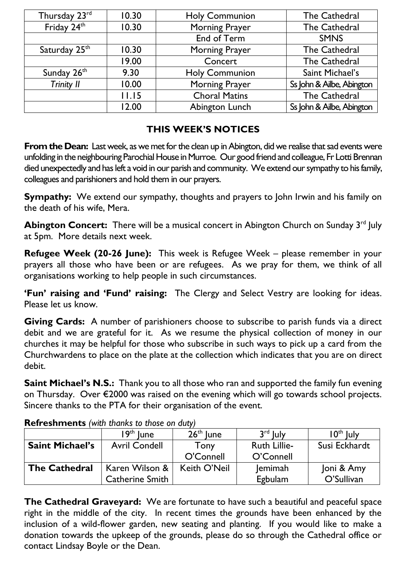| Thursday 23rd             | 10.30 | The Cathedral<br><b>Holy Communion</b> |                           |
|---------------------------|-------|----------------------------------------|---------------------------|
| Friday 24th               | 10.30 | <b>Morning Prayer</b>                  | The Cathedral             |
|                           |       | End of Term                            | <b>SMNS</b>               |
| Saturday 25 <sup>th</sup> | 10.30 | <b>Morning Prayer</b>                  | The Cathedral             |
|                           | 19.00 | Concert                                | The Cathedral             |
| Sunday 26 <sup>th</sup>   | 9.30  | <b>Holy Communion</b>                  | Saint Michael's           |
| <b>Trinity II</b>         | 10.00 | <b>Morning Prayer</b>                  | Ss John & Ailbe, Abington |
|                           | 11.15 | <b>Choral Matins</b>                   | The Cathedral             |
|                           | 12.00 | Abington Lunch                         | Ss John & Ailbe, Abington |

# **THIS WEEK'S NOTICES**

**From the Dean:** Last week, as we met for the clean up in Abington, did we realise that sad events were unfolding in the neighbouring Parochial House in Murroe. Our good friend and colleague, Fr Lotti Brennan died unexpectedly and has left a void in our parish and community. We extend our sympathy to his family, colleagues and parishioners and hold them in our prayers.

**Sympathy:** We extend our sympathy, thoughts and prayers to John Irwin and his family on the death of his wife, Mera.

Abington Concert: There will be a musical concert in Abington Church on Sunday 3<sup>rd</sup> July at 5pm. More details next week.

**Refugee Week (20-26 June):** This week is Refugee Week – please remember in your prayers all those who have been or are refugees. As we pray for them, we think of all organisations working to help people in such circumstances.

**'Fun' raising and 'Fund' raising:** The Clergy and Select Vestry are looking for ideas. Please let us know.

**Giving Cards:** A number of parishioners choose to subscribe to parish funds via a direct debit and we are grateful for it. As we resume the physical collection of money in our churches it may be helpful for those who subscribe in such ways to pick up a card from the Churchwardens to place on the plate at the collection which indicates that you are on direct debit.

**Saint Michael's N.S.:** Thank you to all those who ran and supported the family fun evening on Thursday. Over €2000 was raised on the evening which will go towards school projects. Sincere thanks to the PTA for their organisation of the event.

| <b>INCH CENTRALIS IMALIANING to those of Guty</b> |                       |              |                     |                       |  |
|---------------------------------------------------|-----------------------|--------------|---------------------|-----------------------|--|
|                                                   | 19 <sup>th</sup> lune | $26th$ lune  | $3rd$ luly          | 10 <sup>th</sup> luly |  |
| <b>Saint Michael's</b>                            | <b>Avril Condell</b>  | Tony         | <b>Ruth Lillie-</b> | Susi Eckhardt         |  |
|                                                   |                       | O'Connell    | O'Connell           |                       |  |
| <b>The Cathedral</b>                              | Karen Wilson &        | Keith O'Neil | <b>Jemimah</b>      | Joni & Amy            |  |
|                                                   | Catherine Smith       |              | Egbulam             | O'Sullivan            |  |

**Refreshments** *(with thanks to those on duty)*

**The Cathedral Graveyard:** We are fortunate to have such a beautiful and peaceful space right in the middle of the city. In recent times the grounds have been enhanced by the inclusion of a wild-flower garden, new seating and planting. If you would like to make a donation towards the upkeep of the grounds, please do so through the Cathedral office or contact Lindsay Boyle or the Dean.